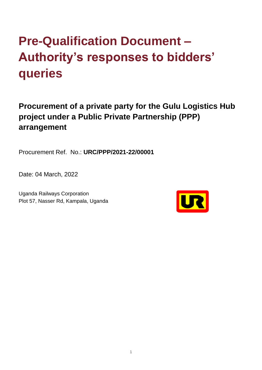## **Pre-Qualification Document – Authority's responses to bidders' queries**

**Procurement of a private party for the Gulu Logistics Hub project under a Public Private Partnership (PPP) arrangement** 

Procurement Ref. No.: **URC/PPP/2021-22/00001**

Date: 04 March, 2022

Uganda Railways Corporation Plot 57, Nasser Rd, Kampala, Uganda

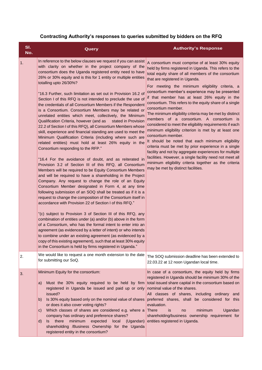## **Contracting Authority's responses to queries submitted by bidders on the RFQ**

| SI.<br>No. | Query                                                                                                                                                                                                                                                                                                                                                                                                                                                                                                                                                                                                                                                                                                                                                                                                                                                                                                                                                                                                                                                                                                                                                                                                                                                                                                                                                                                                                                                                                                                                                                                                                                                                                                                                                                                                                                                                                                                                                                                            | <b>Authority's Response</b>                                                                                                                                                                                                                                                                                                                                                                                                                                                                                                                                                                                                                                                                                                                                                                                                                                                                                                                                                                                                   |
|------------|--------------------------------------------------------------------------------------------------------------------------------------------------------------------------------------------------------------------------------------------------------------------------------------------------------------------------------------------------------------------------------------------------------------------------------------------------------------------------------------------------------------------------------------------------------------------------------------------------------------------------------------------------------------------------------------------------------------------------------------------------------------------------------------------------------------------------------------------------------------------------------------------------------------------------------------------------------------------------------------------------------------------------------------------------------------------------------------------------------------------------------------------------------------------------------------------------------------------------------------------------------------------------------------------------------------------------------------------------------------------------------------------------------------------------------------------------------------------------------------------------------------------------------------------------------------------------------------------------------------------------------------------------------------------------------------------------------------------------------------------------------------------------------------------------------------------------------------------------------------------------------------------------------------------------------------------------------------------------------------------------|-------------------------------------------------------------------------------------------------------------------------------------------------------------------------------------------------------------------------------------------------------------------------------------------------------------------------------------------------------------------------------------------------------------------------------------------------------------------------------------------------------------------------------------------------------------------------------------------------------------------------------------------------------------------------------------------------------------------------------------------------------------------------------------------------------------------------------------------------------------------------------------------------------------------------------------------------------------------------------------------------------------------------------|
| 1.         | In reference to the below clauses we request if you can assist<br>with clarity on whether in the project company of the<br>consortium does the Uganda registered entity need to have<br>26% or 30% equity and is this for 1 entity or multiple entities<br>totalling upto 26/30%?<br>"16.3 Further, such limitation as set out in Provision 16.2 of<br>Section I of this RFQ is not intended to preclude the use of<br>the credentials of all Consortium Members if the Respondent<br>is a Consortium. Consortium Members may be related or<br>unrelated entities which meet, collectively, the Minimum<br>Qualification Criteria, however (and as<br>stated in Provision<br>22.2 of Section I of this RFQ), all Consortium Members whose<br>skill, experience and financial standing are used to meet the<br>Minimum Qualification Criteria (including where such are<br>related entities) must hold at least 26% equity in the<br>Consortium responding to the RFP."<br>"16.4 For the avoidance of doubt, and as reiterated in<br>Provision 3.2 of Section III of this RFQ, all Consortium<br>Members will be required to be Equity Consortium Members<br>and will be required to have a shareholding in the Project<br>Company. Any request to change the role of an Equity<br>Consortium Member designated in Form 4, at any time<br>following submission of an SOQ shall be treated as if it is a<br>request to change the composition of the Consortium itself in<br>accordance with Provision 22 of Section I of this RFQ."<br>"(c) subject to Provision 3 of Section III of this RFQ, any<br>combination of entities under (a) and/or (b) above in the form<br>of a Consortium, who has the formal intent to enter into an<br>agreement (as evidenced by a letter of intent) or who intends<br>to combine under an existing agreement (as evidenced by a<br>copy of this existing agreement), such that at least 30% equity<br>in the Consortium is held by firms registered in Uganda." | A consortium must comprise of at least 30% equity<br>held by firms registered in Uganda. This refers to the<br>total equity share of all members of the consortium<br>that are registered in Uganda.<br>For meeting the minimum eligibility criteria, a<br>consortium member's experience may be presented<br>if that member has at least 26% equity in the<br>consortium. This refers to the equity share of a single<br>consortium member.<br>The minimum eligibility criteria may be met by distinct<br>members of a consortium. A consortium is<br>considered to meet the eligibility requirements if each<br>minimum eligibility criterion is met by at least one<br>consortium member.<br>It should be noted that each minimum eligibility<br>criteria must be met by prior experience in a single<br>facility and not by aggregate experiences for multiple<br>facilities. However, a single facility need not meet all<br>minimum eligibility criteria together as the criteria<br>may be met by distinct facilities. |
| 2.         | We would like to request a one month extension to the date<br>for submitting our SoQ.                                                                                                                                                                                                                                                                                                                                                                                                                                                                                                                                                                                                                                                                                                                                                                                                                                                                                                                                                                                                                                                                                                                                                                                                                                                                                                                                                                                                                                                                                                                                                                                                                                                                                                                                                                                                                                                                                                            | The SOQ submission deadline has been extended to<br>22.03.22 at 12 noon Ugandan local time.                                                                                                                                                                                                                                                                                                                                                                                                                                                                                                                                                                                                                                                                                                                                                                                                                                                                                                                                   |
| 3.         | Minimum Equity for the consortium:<br>Must the 30% equity required to be held by firm<br>a)<br>registered in Uganda be issued and paid up or only<br>issued?<br>Is 30% equity based only on the nominal value of shares<br>b)<br>or does it also cover voting rights?<br>Which classes of shares are considered e.g. where a<br>$\mathbf{C}$<br>company has ordinary and preference shares?<br>there<br>minimum<br>(Ugandan)<br>expected<br>local<br>Is.<br>$\mathsf{d}$<br>shareholding /Business Ownership for the Uganda<br>registered entity in the consortium?                                                                                                                                                                                                                                                                                                                                                                                                                                                                                                                                                                                                                                                                                                                                                                                                                                                                                                                                                                                                                                                                                                                                                                                                                                                                                                                                                                                                                              | In case of a consortium, the equity held by firms<br>registered in Uganda should be minimum 30% of the<br>total issued share capital in the consortium based on<br>nominal value of the shares.<br>All classes of shares, including ordinary and<br>preferred shares, shall be considered for this<br>evaluation.<br><b>There</b><br>minimum<br>Ugandan<br>is<br>no<br>shareholding/business ownership requirement for<br>entities registered in Uganda.                                                                                                                                                                                                                                                                                                                                                                                                                                                                                                                                                                      |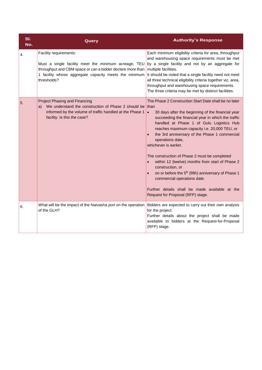| SI.<br>No.       | Query                                                                                                                                                                                                                | <b>Authority's Response</b>                                                                                                                                                                                                                                                                                                                                                                                                                                                                                                                                                                                                                                                              |
|------------------|----------------------------------------------------------------------------------------------------------------------------------------------------------------------------------------------------------------------|------------------------------------------------------------------------------------------------------------------------------------------------------------------------------------------------------------------------------------------------------------------------------------------------------------------------------------------------------------------------------------------------------------------------------------------------------------------------------------------------------------------------------------------------------------------------------------------------------------------------------------------------------------------------------------------|
| $\overline{4}$ . | Facility requirements:<br>Must a single facility meet the minimum acreage, TEU<br>throughput and CBM space or can a bidder declare more than<br>1 facility whose aggregate capacity meets the minimum<br>thresholds? | Each minimum eligibility criteria for area, throughput<br>and warehousing space requirements must be met<br>by a single facility and not by an aggregate for<br>multiple facilities.<br>It should be noted that a single facility need not meet<br>all three technical eligibility criteria together viz. area,<br>throughput and warehousing space requirements.<br>The three criteria may be met by distinct facilities.                                                                                                                                                                                                                                                               |
| 5.               | <b>Project Phasing and Financing</b><br>We understand the construction of Phase 2 should be than<br>a)<br>informed by the volume of traffic handled at the Phase 1<br>facility. Is this the case?                    | The Phase 2 Construction Start Date shall be no later<br>$\bullet$<br>30 days after the beginning of the financial year<br>succeeding the financial year in which the traffic<br>handled at Phase 1 of Gulu Logistics Hub<br>reaches maximum capacity i.e. 20,000 TEU, or<br>the 3rd anniversary of the Phase 1 commercial<br>operations date,<br>whichever is earlier.<br>The construction of Phase 2 must be completed<br>within 12 (twelve) months from start of Phase 2<br>construction, or<br>on or before the 5 <sup>th</sup> (fifth) anniversary of Phase 1<br>commercial operations date.<br>Further details shall be made available at the<br>Request for Proposal (RFP) stage. |
| 6.               | What will be the impact of the Naivasha port on the operation<br>of the GLH?                                                                                                                                         | Bidders are expected to carry out their own analysis<br>for the project.<br>Further details about the project shall be made<br>available to bidders at the Request-for-Proposal<br>(RFP) stage.                                                                                                                                                                                                                                                                                                                                                                                                                                                                                          |